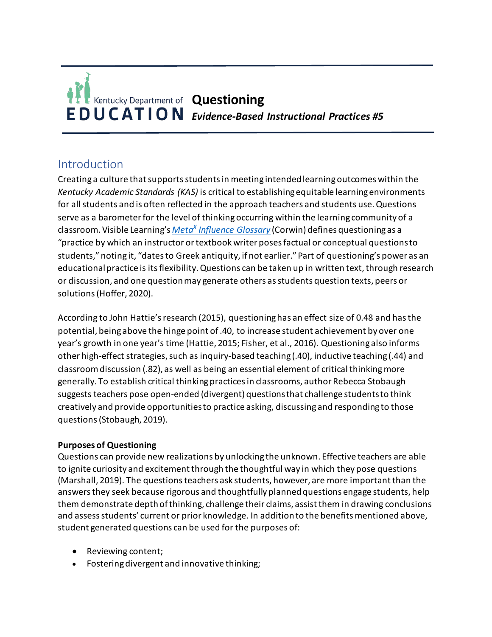# **Questioning EDUCATION** Evidence-Based Instructional Practices #5

# Introduction

Creating a culture that supports students in meeting intended learning outcomes within the *Kentucky Academic Standards (KAS)* is critical to establishing equitable learning environments for all students and is often reflected in the approach teachers and students use. Questions serve as a barometer for the level of thinking occurring within the learning community of a classroom. Visible Learning's *Meta<sup>x</sup> [Influence Glossary](https://www.visiblelearningmetax.com/content/influence_glossary.pdf)* (Corwin) defines questioning as a "practice by which an instructor or textbook writer poses factual or conceptual questions to students," noting it, "dates to Greek antiquity, if not earlier." Part of questioning's power as an educational practice is its flexibility. Questions can be taken up in written text, through research or discussion, and one question may generate others as students question texts, peers or solutions (Hoffer, 2020).

According to John Hattie's research (2015), questioning has an effect size of 0.48 and has the potential, being above the hinge point of .40, to increase student achievement by over one year's growth in one year's time (Hattie, 2015; Fisher, et al., 2016). Questioning also informs other high-effect strategies, such as inquiry-based teaching (.40), inductive teaching (.44) and classroom discussion (.82), as well as being an essential element of critical thinking more generally. To establish critical thinking practices in classrooms, author Rebecca Stobaugh suggests teachers pose open-ended (divergent) questions that challenge students to think creatively and provide opportunities to practice asking, discussing and responding to those questions (Stobaugh, 2019).

### **Purposes of Questioning**

Questions can provide new realizations by unlocking the unknown. Effective teachers are able to ignite curiosity and excitement through the thoughtful way in which they pose questions (Marshall, 2019). The questions teachers ask students, however, are more important than the answers they seek because rigorous and thoughtfully planned questions engage students, help them demonstrate depth of thinking, challenge their claims, assist them in drawing conclusions and assess students' current or prior knowledge. In addition to the benefits mentioned above, student generated questions can be used for the purposes of:

- Reviewing content;
- Fostering divergent and innovative thinking;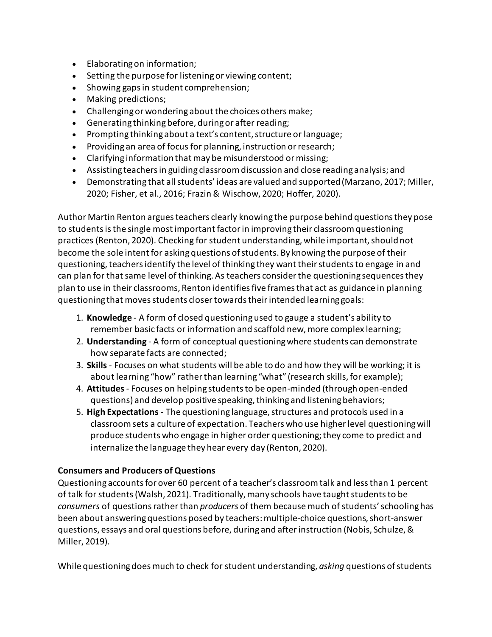- Elaborating on information;
- Setting the purpose for listening or viewing content;
- Showing gaps in student comprehension;
- Making predictions;
- Challenging or wondering about the choices others make;
- Generating thinking before, during or after reading;
- Prompting thinking about a text's content, structure or language;
- Providing an area of focus for planning, instruction or research;
- Clarifying information that may be misunderstood or missing;
- Assisting teachers in guiding classroom discussion and close reading analysis; and
- Demonstrating that all students' ideas are valued and supported (Marzano, 2017; Miller, 2020; Fisher, et al., 2016; Frazin & Wischow, 2020; Hoffer, 2020).

Author Martin Renton argues teachers clearly knowing the purpose behind questions they pose to students is the single most important factor in improving their classroom questioning practices (Renton, 2020). Checking for student understanding, while important, should not become the sole intent for asking questions of students. By knowing the purpose of their questioning, teachers identify the level of thinking they want their students to engage in and can plan for that same level of thinking. As teachers consider the questioning sequences they plan to use in their classrooms, Renton identifies five frames that act as guidance in planning questioning that moves students closer towards their intended learning goals:

- 1. **Knowledge** A form of closed questioning used to gauge a student's ability to remember basic facts or information and scaffold new, more complex learning;
- 2. **Understanding** A form of conceptual questioning where students can demonstrate how separate facts are connected;
- 3. **Skills**  Focuses on what students will be able to do and how they will be working; it is about learning "how" rather than learning "what" (research skills, for example);
- 4. **Attitudes**  Focuses on helping students to be open-minded (through open-ended questions) and develop positive speaking, thinking and listening behaviors;
- 5. **High Expectations**  The questioning language, structures and protocols used in a classroom sets a culture of expectation. Teachers who use higher level questioning will produce students who engage in higher order questioning; they come to predict and internalize the language they hear every day (Renton, 2020).

### **Consumers and Producers of Questions**

Questioning accounts for over 60 percent of a teacher's classroom talk and less than 1 percent of talk for students (Walsh, 2021). Traditionally, many schools have taught students to be *consumers* of questions rather than *producers* of them because much of students' schooling has been about answering questions posed by teachers: multiple-choice questions, short-answer questions, essays and oral questions before, during and after instruction (Nobis, Schulze, & Miller, 2019).

While questioning does much to check for student understanding, *asking* questions of students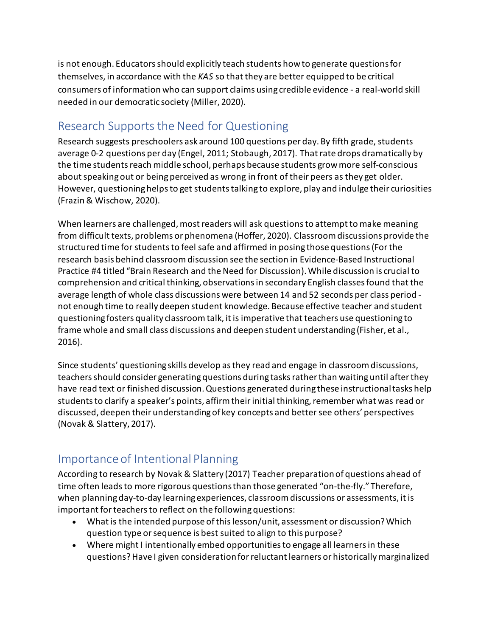is not enough. Educatorsshould explicitly teach students how to generate questions for themselves, in accordance with the *KAS* so that they are better equipped to be critical consumers of information who can support claims using credible evidence - a real-world skill needed in our democratic society (Miller, 2020).

# Research Supports the Need for Questioning

Research suggests preschoolers ask around 100 questions per day. By fifth grade, students average 0-2 questions per day (Engel, 2011; Stobaugh, 2017). That rate drops dramatically by the time students reach middle school, perhaps because students grow more self-conscious about speaking out or being perceived as wrong in front of their peers as they get older. However, questioning helps to get students talking to explore, play and indulge their curiosities (Frazin & Wischow, 2020).

When learners are challenged, most readers will ask questions to attempt to make meaning from difficult texts, problems or phenomena (Hoffer, 2020). Classroom discussions provide the structured time for students to feel safe and affirmed in posing those questions (For the research basis behind classroom discussion see the section in Evidence-Based Instructional Practice #4 titled "Brain Research and the Need for Discussion). While discussion is crucial to comprehension and critical thinking, observations in secondary English classes found that the average length of whole class discussions were between 14 and 52 seconds per class period not enough time to really deepen student knowledge. Because effective teacher and student questioning fosters quality classroom talk, it is imperative that teachers use questioning to frame whole and small class discussions and deepen student understanding (Fisher, et al., 2016).

Since students' questioning skills develop as they read and engage in classroom discussions, teachers should consider generating questions during tasks rather than waiting until after they have read text or finished discussion. Questions generated during these instructional tasks help students to clarify a speaker's points, affirm their initial thinking, remember what was read or discussed, deepen their understanding of key concepts and better see others' perspectives (Novak & Slattery, 2017).

## Importance of Intentional Planning

According to research by Novak & Slattery (2017) Teacher preparation of questions ahead of time often leads to more rigorous questions than those generated "on-the-fly." Therefore, when planning day-to-day learning experiences, classroom discussions or assessments, it is important for teachers to reflect on the following questions:

- What is the intended purpose of this lesson/unit, assessment or discussion? Which question type or sequence is best suited to align to this purpose?
- Where might I intentionally embed opportunities to engage all learners in these questions? Have I given consideration for reluctant learners or historically marginalized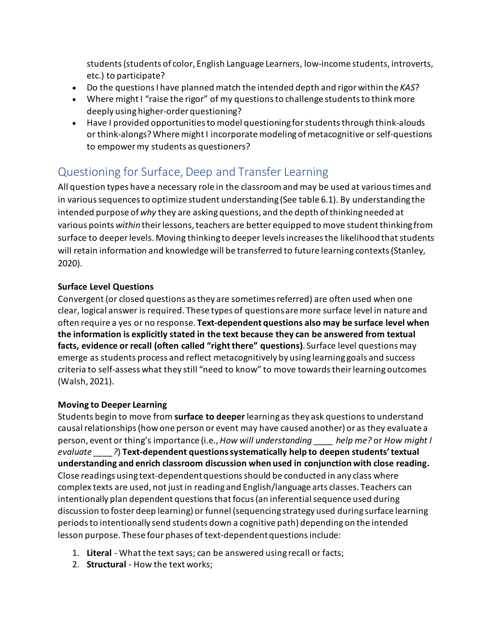students (students of color, English Language Learners, low-income students, introverts, etc.) to participate?

- Do the questions I have planned match the intended depth and rigor within the *KAS*?
- Where might I "raise the rigor" of my questions to challenge students to think more deeply using higher-order questioning?
- Have I provided opportunities to model questioning for students through think-alouds or think-alongs? Where might I incorporate modeling of metacognitive or self-questions to empower my students as questioners?

# Questioning for Surface, Deep and Transfer Learning

All question types have a necessary role in the classroom and may be used at various times and in various sequences to optimize student understanding (See table 6.1). By understanding the intended purpose of *why* they are asking questions, and the depth of thinking needed at various points *within* their lessons, teachers are better equipped to move student thinking from surface to deeper levels. Moving thinking to deeper levels increases the likelihood that students will retain information and knowledge will be transferred to future learning contexts (Stanley, 2020).

### **Surface Level Questions**

Convergent (or closed questions as they are sometimes referred) are often used when one clear, logical answer is required. These types of questions are more surface level in nature and often require a yes or no response. **Text-dependent questions also may be surface level when the information is explicitly stated in the text because they can be answered from textual facts, evidence or recall (often called "right there" questions)**. Surface level questions may emerge as students process and reflect metacognitively by using learning goals and success criteria to self-assess what they still "need to know" to move towards their learning outcomes (Walsh, 2021).

### **Moving to Deeper Learning**

Students begin to move from **surface to deeper** learning as they ask questions to understand causal relationships (how one person or event may have caused another) or as they evaluate a person, event or thing's importance (i.e., *How will understanding \_\_\_\_ help me?* or *How might I evaluate \_\_\_\_?*) **Text-dependent questions systematically help to deepen students' textual understanding and enrich classroom discussion when used in conjunction with close reading.** Close readings using text-dependent questions should be conducted in any class where complex texts are used, not just in reading and English/language arts classes. Teachers can intentionally plan dependent questions that focus (an inferential sequence used during discussion to foster deep learning) or funnel (sequencing strategy used during surface learning periods to intentionally send students down a cognitive path) depending on the intended lesson purpose. These four phases of text-dependent questions include:

- 1. **Literal**  What the text says; can be answered using recall or facts;
- 2. **Structural** How the text works;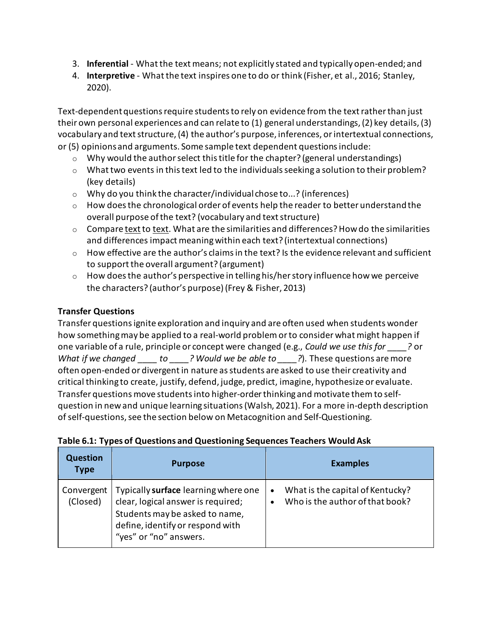- 3. **Inferential**  What the text means; not explicitly stated and typically open-ended; and
- 4. **Interpretive** What the text inspires one to do or think (Fisher, et al., 2016; Stanley, 2020).

Text-dependent questions require students to rely on evidence from the text rather than just their own personal experiences and can relate to (1) general understandings, (2) key details, (3) vocabulary and text structure, (4) the author's purpose, inferences, or intertextual connections, or (5) opinions and arguments. Some sample text dependent questions include:

- $\circ$  Why would the author select this title for the chapter? (general understandings)
- $\circ$  What two events in this text led to the individuals seeking a solution to their problem? (key details)
- o Why do you think the character/individual chose to...? (inferences)
- $\circ$  How does the chronological order of events help the reader to better understand the overall purpose of the text? (vocabulary and text structure)
- $\circ$  Compare text to text. What are the similarities and differences? How do the similarities and differences impact meaning within each text? (intertextual connections)
- $\circ$  How effective are the author's claims in the text? Is the evidence relevant and sufficient to support the overall argument? (argument)
- $\circ$  How does the author's perspective in telling his/her story influence how we perceive the characters? (author's purpose) (Frey & Fisher, 2013)

### **Transfer Questions**

Transfer questions ignite exploration and inquiry and are often used when students wonder how something may be applied to a real-world problem or to consider what might happen if one variable of a rule, principle or concept were changed (e.g., *Could we use this for \_\_\_\_?* or *What if we changed to ? Would we be able to* ?). These questions are more often open-ended or divergent in nature as students are asked to use their creativity and critical thinking to create, justify, defend, judge, predict, imagine, hypothesize or evaluate. Transfer questions move students into higher-order thinking and motivate them to selfquestion in new and unique learning situations (Walsh, 2021). For a more in-depth description of self-questions, see the section below on Metacognition and Self-Questioning.

| <b>Question</b><br><b>Type</b> | <b>Purpose</b>                                                                                                                                                             | <b>Examples</b>                                                                               |
|--------------------------------|----------------------------------------------------------------------------------------------------------------------------------------------------------------------------|-----------------------------------------------------------------------------------------------|
| Convergent<br>(Closed)         | Typically surface learning where one<br>clear, logical answer is required;<br>Students may be asked to name,<br>define, identify or respond with<br>"yes" or "no" answers. | What is the capital of Kentucky?<br>$\bullet$<br>Who is the author of that book?<br>$\bullet$ |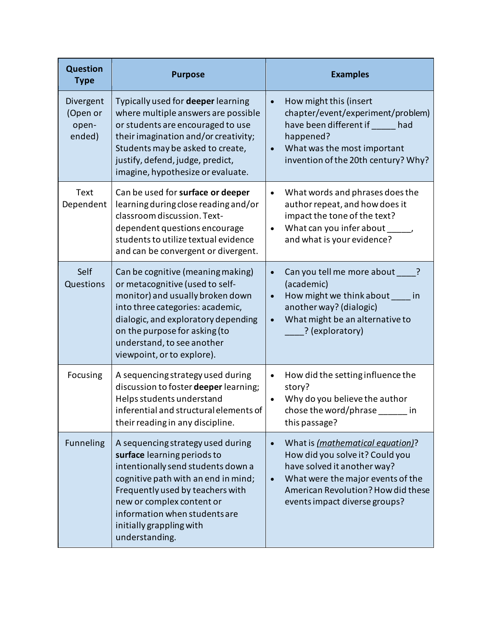| <b>Question</b><br><b>Type</b>           | <b>Purpose</b>                                                                                                                                                                                                                                                                                | <b>Examples</b>                                                                                                                                                                                                             |
|------------------------------------------|-----------------------------------------------------------------------------------------------------------------------------------------------------------------------------------------------------------------------------------------------------------------------------------------------|-----------------------------------------------------------------------------------------------------------------------------------------------------------------------------------------------------------------------------|
| Divergent<br>(Open or<br>open-<br>ended) | Typically used for <b>deeper</b> learning<br>where multiple answers are possible<br>or students are encouraged to use<br>their imagination and/or creativity;<br>Students may be asked to create,<br>justify, defend, judge, predict,<br>imagine, hypothesize or evaluate.                    | How might this (insert<br>$\bullet$<br>chapter/event/experiment/problem)<br>have been different if had<br>happened?<br>What was the most important<br>invention of the 20th century? Why?                                   |
| Text<br>Dependent                        | Can be used for surface or deeper<br>learning during close reading and/or<br>classroom discussion. Text-<br>dependent questions encourage<br>students to utilize textual evidence<br>and can be convergent or divergent.                                                                      | What words and phrases does the<br>$\bullet$<br>author repeat, and how does it<br>impact the tone of the text?<br>What can you infer about<br>and what is your evidence?                                                    |
| Self<br>Questions                        | Can be cognitive (meaning making)<br>or metacognitive (used to self-<br>monitor) and usually broken down<br>into three categories: academic,<br>dialogic, and exploratory depending<br>on the purpose for asking (to<br>understand, to see another<br>viewpoint, or to explore).              | Can you tell me more about<br>?<br>(academic)<br>How might we think about<br><i>in</i><br>another way? (dialogic)<br>What might be an alternative to<br>? (exploratory)                                                     |
| Focusing                                 | A sequencing strategy used during<br>discussion to foster deeper learning;<br>Helps students understand<br>inferential and structural elements of<br>their reading in any discipline.                                                                                                         | How did the setting influence the<br>$\bullet$<br>story?<br>Why do you believe the author<br>chose the word/phrase _______ in<br>this passage?                                                                              |
| Funneling                                | A sequencing strategy used during<br>surface learning periods to<br>intentionally send students down a<br>cognitive path with an end in mind;<br>Frequently used by teachers with<br>new or complex content or<br>information when students are<br>initially grappling with<br>understanding. | What is (mathematical equation)?<br>$\bullet$<br>How did you solve it? Could you<br>have solved it another way?<br>What were the major events of the<br>American Revolution? How did these<br>events impact diverse groups? |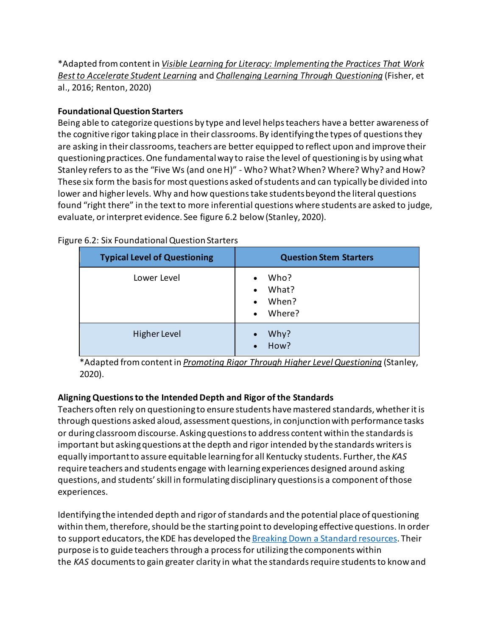\*Adapted from content in *Visible Learning for Literacy: Implementing the Practices That Work Best to Accelerate Student Learning* and *Challenging Learning Through Questioning* (Fisher, et al., 2016; Renton, 2020)

### **Foundational Question Starters**

Being able to categorize questions by type and level helps teachers have a better awareness of the cognitive rigor taking place in their classrooms. By identifying the types of questions they are asking in their classrooms, teachers are better equipped to reflect upon and improve their questioning practices. One fundamental way to raise the level of questioning is by using what Stanley refers to as the "Five Ws (and one H)" - Who? What? When? Where? Why? and How? These six form the basis for most questions asked of students and can typically be divided into lower and higher levels. Why and how questions take students beyond the literal questions found "right there" in the text to more inferential questions where students are asked to judge, evaluate, or interpret evidence. See figure 6.2 below (Stanley, 2020).

| <b>Typical Level of Questioning</b> | <b>Question Stem Starters</b>                                |
|-------------------------------------|--------------------------------------------------------------|
| Lower Level                         | Who?<br>What?<br>$\bullet$<br>When?<br>$\bullet$<br>• Where? |
| Higher Level                        | Why?<br>How?                                                 |

### Figure 6.2: Six Foundational Question Starters

\*Adapted from content in *Promoting Rigor Through Higher Level Questioning* (Stanley, 2020).

### **Aligning Questions to the Intended Depth and Rigor of the Standards**

Teachers often rely on questioning to ensure students have mastered standards, whether it is through questions asked aloud, assessment questions, in conjunction with performance tasks or during classroom discourse. Asking questions to address content within the standards is important but asking questions at the depth and rigor intended by the standards writers is equally important to assure equitable learning for all Kentucky students. Further, the *KAS* require teachers and students engage with learning experiences designed around asking questions, and students' skill in formulating disciplinary questions is a component of those experiences.

Identifying the intended depth and rigor of standards and the potential place of questioning within them, therefore, should be the starting point to developing effective questions. In order to support educators, the KDE has developed the [Breaking Down a Standard resources.](https://kystandards.org/standards-resources/break-down-stand-res/) Their purpose is to guide teachers through a process for utilizing the components within the *KAS* documents to gain greater clarity in what the standards require students to know and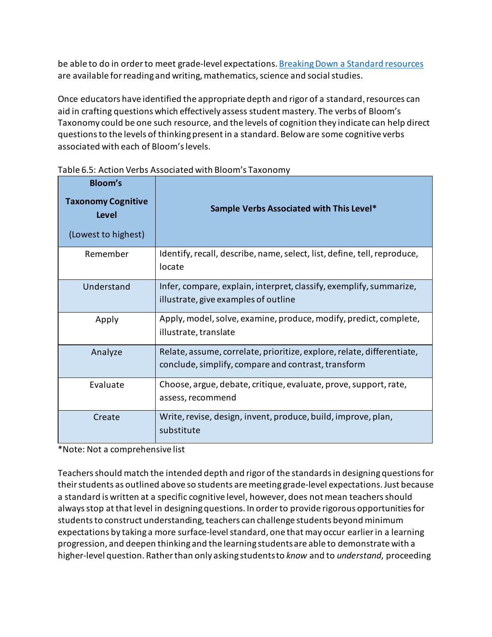be able to do in order to meet grade-level expectations[. Breaking Down a Standard resources](https://kystandards.org/standards-resources/break-down-stand-res/) are available for reading and writing, mathematics, science and social studies.

Once educators have identified the appropriate depth and rigor of a standard, resources can aid in crafting questions which effectively assess student mastery. The verbs of Bloom's Taxonomy could be one such resource, and the levels of cognition they indicate can help direct questions to the levels of thinking present in a standard. Below are some cognitive verbs associated with each of Bloom's levels.

| <b>Bloom's</b><br><b>Taxonomy Cognitive</b><br>Level<br>(Lowest to highest) | Sample Verbs Associated with This Level*                                                                                      |
|-----------------------------------------------------------------------------|-------------------------------------------------------------------------------------------------------------------------------|
| Remember                                                                    | Identify, recall, describe, name, select, list, define, tell, reproduce,<br>locate                                            |
| Understand                                                                  | Infer, compare, explain, interpret, classify, exemplify, summarize,<br>illustrate, give examples of outline                   |
| Apply                                                                       | Apply, model, solve, examine, produce, modify, predict, complete,<br>illustrate, translate                                    |
| Analyze                                                                     | Relate, assume, correlate, prioritize, explore, relate, differentiate,<br>conclude, simplify, compare and contrast, transform |
| Evaluate                                                                    | Choose, argue, debate, critique, evaluate, prove, support, rate,<br>assess, recommend                                         |
| Create                                                                      | Write, revise, design, invent, produce, build, improve, plan,<br>substitute                                                   |

Table 6.5: Action Verbs Associated with Bloom's Taxonomy

\*Note: Not a comprehensive list

Teachers should match the intended depth and rigor of the standards in designing questions for their students as outlined above so students are meeting grade-level expectations. Just because a standard is written at a specific cognitive level, however, does not mean teachers should always stop at that level in designing questions. In order to provide rigorous opportunities for students to construct understanding, teachers can challenge students beyond minimum expectations by taking a more surface-level standard, one that may occur earlier in a learning progression, and deepen thinking and the learning students are able to demonstrate with a higher-level question. Rather than only asking students to *know* and to *understand*, proceeding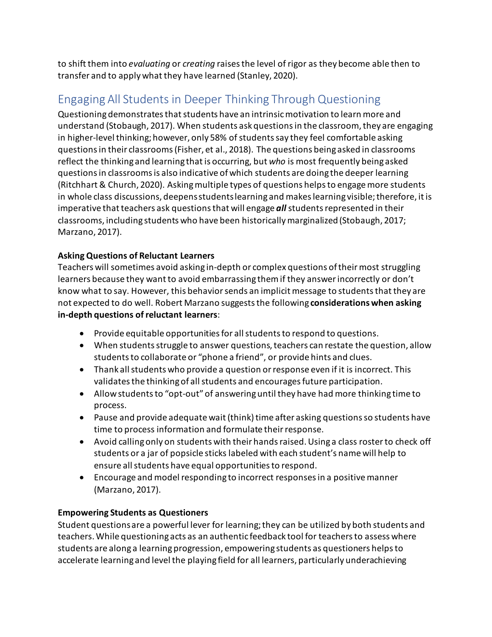to shift them into *evaluating* or *creating* raises the level of rigor as they become able then to transfer and to apply what they have learned (Stanley, 2020).

# Engaging All Students in Deeper Thinking Through Questioning

Questioning demonstrates that students have an intrinsic motivation to learn more and understand (Stobaugh, 2017). When students ask questions in the classroom, they are engaging in higher-level thinking; however, only 58% of students say they feel comfortable asking questions in their classrooms (Fisher, et al., 2018). The questions being asked in classrooms reflect the thinking and learning that is occurring, but *who* is most frequently being asked questions in classrooms is also indicative of which students are doing the deeper learning (Ritchhart & Church, 2020). Asking multiple types of questions helps to engage more students in whole class discussions, deepens students learning and makes learning visible; therefore, it is imperative that teachers ask questions that will engage *all* students represented in their classrooms, including students who have been historicallymarginalized (Stobaugh, 2017; Marzano, 2017).

### **Asking Questions of Reluctant Learners**

Teachers will sometimes avoid asking in-depth or complex questions of their most struggling learners because they want to avoid embarrassing them if they answer incorrectly or don't know what to say. However, this behavior sends an implicit message to students that they are not expected to do well. Robert Marzano suggests the following **considerations when asking in-depth questions of reluctant learners**:

- Provide equitable opportunities for all students to respond to questions.
- When students struggle to answer questions, teachers can restate the question, allow students to collaborate or "phone a friend", or provide hints and clues.
- Thank all students who provide a question or response even if it is incorrect. This validates the thinking of all students and encourages future participation.
- Allow students to "opt-out" of answering until they have had more thinking time to process.
- Pause and provide adequate wait (think) time after asking questions so students have time to process information and formulate their response.
- Avoid calling only on students with their hands raised. Using a class roster to check off students or a jar of popsicle sticks labeled with each student's name will help to ensure all students have equal opportunities to respond.
- Encourage and model responding to incorrect responses in a positive manner (Marzano, 2017).

### **Empowering Students as Questioners**

Student questions are a powerful lever for learning; they can be utilized by both students and teachers. While questioning acts as an authentic feedback tool for teachers to assess where students are along a learning progression, empowering students as questioners helps to accelerate learning and level the playing field for all learners, particularly underachieving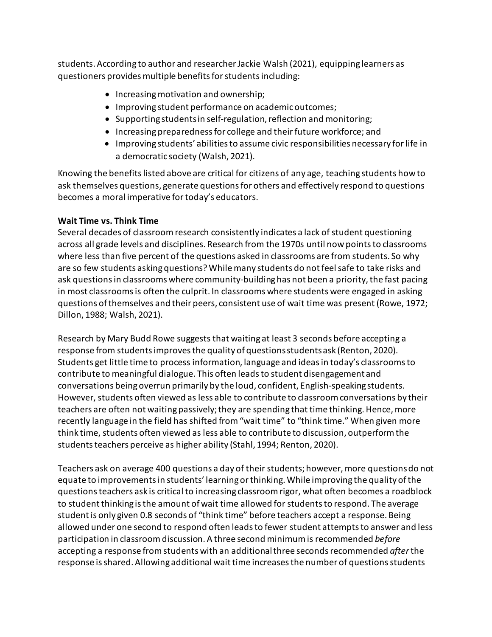students. According to author and researcher Jackie Walsh (2021), equipping learners as questioners provides multiple benefits for students including:

- Increasing motivation and ownership;
- Improving student performance on academic outcomes;
- Supporting students in self-regulation, reflection and monitoring;
- Increasing preparedness for college and their future workforce; and
- Improving students' abilities to assume civic responsibilities necessary for life in a democratic society (Walsh, 2021).

Knowing the benefits listed above are critical for citizens of any age, teaching students how to ask themselves questions, generate questions for others and effectively respond to questions becomes a moral imperative for today's educators.

### **Wait Time vs. Think Time**

Several decades of classroom research consistently indicates a lack of student questioning across all grade levels and disciplines. Research from the 1970s until now points to classrooms where less than five percent of the questions asked in classrooms are from students. So why are so few students asking questions? While many students do not feel safe to take risks and ask questions in classrooms where community-building has not been a priority, the fast pacing in most classrooms is often the culprit. In classrooms where students were engaged in asking questions of themselves and their peers, consistent use of wait time was present (Rowe, 1972; Dillon, 1988; Walsh, 2021).

Research by Mary Budd Rowe suggests that waiting at least 3 seconds before accepting a response from students improves the quality of questions students ask (Renton, 2020). Students get little time to process information, language and ideas in today's classrooms to contribute to meaningful dialogue. This often leads to student disengagement and conversations being overrun primarily by the loud, confident, English-speaking students. However, students often viewed as less able to contribute to classroom conversations by their teachers are often not waiting passively; they are spending that time thinking. Hence, more recently language in the field has shifted from "wait time" to "think time." When given more think time, students often viewed as less able to contribute to discussion, outperform the students teachers perceive as higher ability (Stahl, 1994; Renton, 2020).

Teachers ask on average 400 questions a day of their students; however, more questions do not equate to improvements in students' learning or thinking. While improving the quality of the questions teachers ask is critical to increasing classroom rigor, what often becomes a roadblock to student thinking is the amount of wait time allowed for students to respond. The average student is only given 0.8 seconds of "think time" before teachers accept a response. Being allowed under one second to respond often leads to fewer student attempts to answer and less participation in classroom discussion. A three second minimum is recommended *before* accepting a response from students with an additional three seconds recommended *after*the response is shared. Allowing additional wait time increases the number of questions students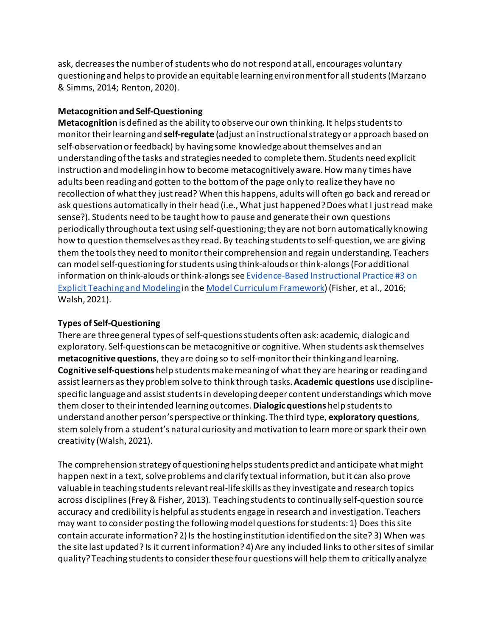ask, decreases the number of students who do not respond at all, encourages voluntary questioning and helps to provide an equitable learning environment for all students (Marzano & Simms, 2014; Renton, 2020).

### **Metacognition and Self-Questioning**

**Metacognition** is defined as the ability to observe our own thinking. It helps students to monitor their learning and **self-regulate** (adjust an instructional strategy or approach based on self-observation or feedback) by having some knowledge about themselves and an understanding of the tasks and strategies needed to complete them. Students need explicit instruction and modeling in how to become metacognitively aware. How many times have adults been reading and gotten to the bottom of the page only to realize they have no recollection of what they just read? When this happens, adults will often go back and reread or ask questions automatically in their head (i.e., What just happened? Does what I just read make sense?). Students need to be taught how to pause and generate their own questions periodically throughout a text using self-questioning; they are not born automatically knowing how to question themselves as they read. By teaching students to self-question, we are giving them the tools they need to monitor their comprehension and regain understanding. Teachers can model self-questioning for students using think-alouds or think-alongs (For additional information on think-alouds or think-alongs se[e Evidence-Based Instructional Practice #3 on](https://education.ky.gov/curriculum/standards/kyacadstand/Documents/EBIP_3_Explicit_Teaching_and_Modeling.pdf)  [Explicit Teaching and Modeling](https://education.ky.gov/curriculum/standards/kyacadstand/Documents/EBIP_3_Explicit_Teaching_and_Modeling.pdf) in th[e Model Curriculum Framework\)](https://education.ky.gov/curriculum/standards/kyacadstand/Documents/Model_Curriculum_Framework.pdf) (Fisher, et al., 2016; Walsh, 2021).

### **Types of Self-Questioning**

There are three general types of self-questions students often ask: academic, dialogic and exploratory. Self-questions can be metacognitive or cognitive. When students ask themselves **metacognitive questions**, they are doing so to self-monitor their thinking and learning. **Cognitive self-questions** help students make meaning of what they are hearing or reading and assist learners as they problem solve to think through tasks. **Academic questions** use disciplinespecific language and assist students in developing deeper content understandings which move them closer to their intended learning outcomes. **Dialogic questions** help students to understand another person's perspective or thinking. The third type, **exploratory questions**, stem solely from a student's natural curiosity and motivation to learn more or spark their own creativity (Walsh, 2021).

The comprehension strategy of questioning helps students predict and anticipate what might happen next in a text, solve problems and clarify textual information, but it can also prove valuable in teaching students relevant real-life skills as they investigate and research topics across disciplines (Frey & Fisher, 2013). Teaching students to continually self-question source accuracy and credibility is helpful as students engage in research and investigation. Teachers may want to consider posting the following model questions for students: 1) Does this site contain accurate information? 2) Is the hosting institution identified on the site? 3) When was the site last updated? Is it current information? 4) Are any included links to other sites of similar quality? Teaching students to consider these four questions will help themto critically analyze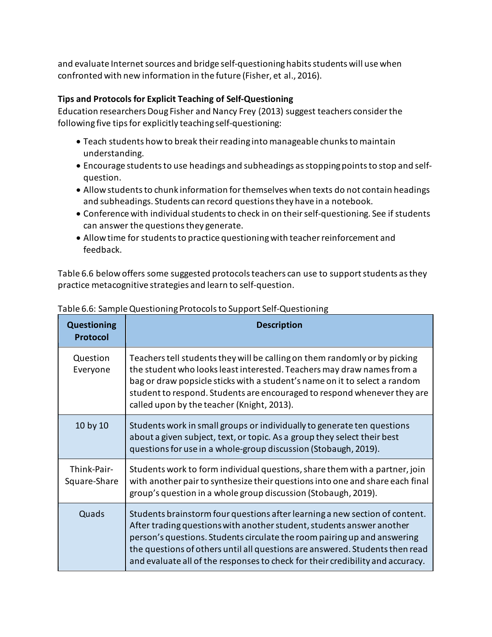and evaluate Internet sources and bridge self-questioning habits students will use when confronted with new information in the future (Fisher, et al., 2016).

### **Tips and Protocols for Explicit Teaching of Self-Questioning**

Education researchers Doug Fisher and Nancy Frey (2013) suggest teachers consider the following five tips for explicitly teaching self-questioning:

- Teach students how to break their reading into manageable chunks to maintain understanding.
- Encourage students to use headings and subheadings as stopping points to stop and selfquestion.
- Allow students to chunk information for themselves when texts do not contain headings and subheadings. Students can record questions they have in a notebook.
- Conference with individual students to check in on their self-questioning. See if students can answer the questions they generate.
- Allow time for students to practice questioning with teacher reinforcement and feedback.

Table 6.6 below offers some suggested protocols teachers can use to support students as they practice metacognitive strategies and learn to self-question.

| <b>Questioning</b><br><b>Protocol</b> | <b>Description</b>                                                                                                                                                                                                                                                                                                                                                                                 |
|---------------------------------------|----------------------------------------------------------------------------------------------------------------------------------------------------------------------------------------------------------------------------------------------------------------------------------------------------------------------------------------------------------------------------------------------------|
| Question<br>Everyone                  | Teachers tell students they will be calling on them randomly or by picking<br>the student who looks least interested. Teachers may draw names from a<br>bag or draw popsicle sticks with a student's name on it to select a random<br>student to respond. Students are encouraged to respond whenever they are<br>called upon by the teacher (Knight, 2013).                                       |
| 10 by 10                              | Students work in small groups or individually to generate ten questions<br>about a given subject, text, or topic. As a group they select their best<br>questions for use in a whole-group discussion (Stobaugh, 2019).                                                                                                                                                                             |
| Think-Pair-<br>Square-Share           | Students work to form individual questions, share them with a partner, join<br>with another pair to synthesize their questions into one and share each final<br>group's question in a whole group discussion (Stobaugh, 2019).                                                                                                                                                                     |
| Quads                                 | Students brainstorm four questions after learning a new section of content.<br>After trading questions with another student, students answer another<br>person's questions. Students circulate the room pairing up and answering<br>the questions of others until all questions are answered. Students then read<br>and evaluate all of the responses to check for their credibility and accuracy. |

Table 6.6: Sample Questioning Protocols to Support Self-Questioning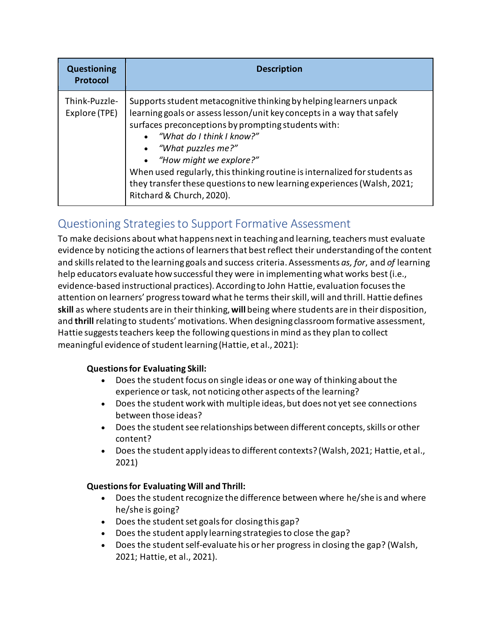| <b>Questioning</b><br><b>Protocol</b> | <b>Description</b>                                                                                                                                                                                                                                                                                                                                                                                                                                                            |
|---------------------------------------|-------------------------------------------------------------------------------------------------------------------------------------------------------------------------------------------------------------------------------------------------------------------------------------------------------------------------------------------------------------------------------------------------------------------------------------------------------------------------------|
| Think-Puzzle-<br>Explore (TPE)        | Supports student metacognitive thinking by helping learners unpack<br>learning goals or assess lesson/unit key concepts in a way that safely<br>surfaces preconceptions by prompting students with:<br>• "What do I think I know?"<br>• "What puzzles me?"<br>• "How might we explore?"<br>When used regularly, this thinking routine is internalized for students as<br>they transfer these questions to new learning experiences (Walsh, 2021;<br>Ritchard & Church, 2020). |

### Questioning Strategies to Support Formative Assessment

To make decisions about what happens next in teaching and learning, teachers must evaluate evidence by noticing the actions of learners that best reflect their understanding of the content and skills related to the learning goals and success criteria. Assessments *as, for*, and *of* learning help educators evaluate how successful they were in implementing what works best (i.e., evidence-based instructional practices). According to John Hattie, evaluation focuses the attention on learners' progress toward what he terms their skill, will and thrill. Hattie defines **skill** as where students are in their thinking, **will** being where students are in their disposition, and **thrill** relating to students' motivations. When designing classroom formative assessment, Hattie suggests teachers keep the following questions in mind as they plan to collect meaningful evidence of student learning (Hattie, et al., 2021):

### **Questions for Evaluating Skill:**

- Does the student focus on single ideas or one way of thinking about the experience or task, not noticing other aspects of the learning?
- Does the student work with multiple ideas, but does not yet see connections between those ideas?
- Does the student see relationships between different concepts, skills or other content?
- Does the student apply ideas to different contexts? (Walsh, 2021; Hattie, et al., 2021)

### **Questions for Evaluating Will and Thrill:**

- Does the student recognize the difference between where he/she is and where he/she is going?
- Does the student set goals for closing this gap?
- Does the student apply learning strategies to close the gap?
- Does the student self-evaluate his or her progress in closing the gap? (Walsh, 2021; Hattie, et al., 2021).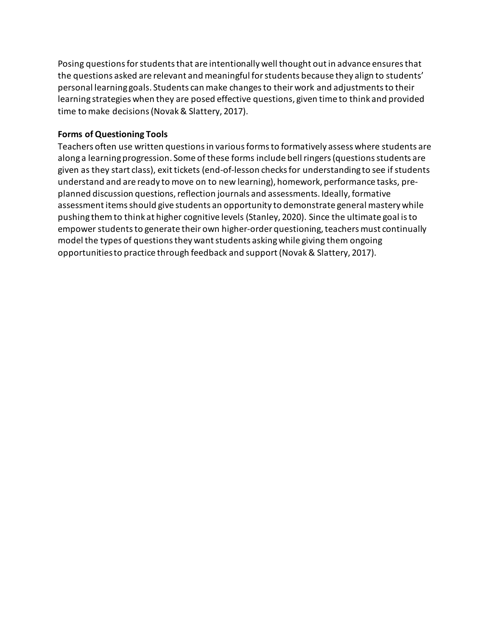Posing questions for students that are intentionally well thought out in advance ensures that the questions asked are relevant and meaningful for students because they align to students' personal learning goals. Students can make changes to their work and adjustments to their learning strategies when they are posed effective questions, given time to think and provided time to make decisions (Novak & Slattery, 2017).

### **Forms of Questioning Tools**

Teachers often use written questions in various forms to formatively assess where students are along a learning progression. Some of these forms include bell ringers (questions students are given as they start class), exit tickets (end-of-lesson checks for understanding to see if students understand and are ready to move on to new learning), homework, performance tasks, preplanned discussion questions, reflection journals and assessments. Ideally, formative assessment items should give students an opportunity to demonstrate general mastery while pushing them to think at higher cognitive levels (Stanley, 2020). Since the ultimate goal is to empower students to generate their own higher-order questioning, teachers must continually model the types of questions they want students asking while giving them ongoing opportunities to practice through feedback and support (Novak & Slattery, 2017).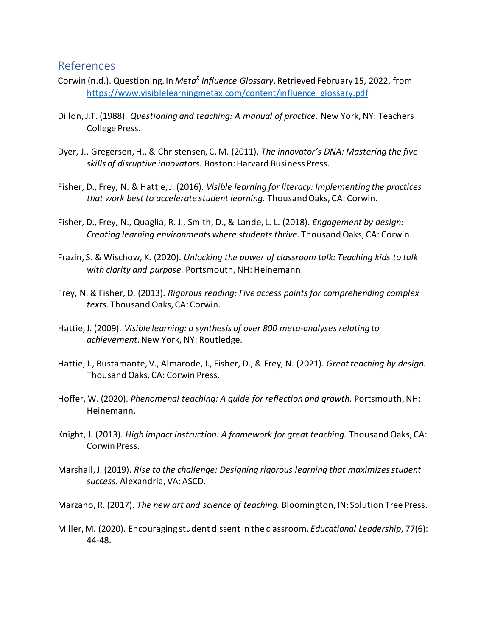### References

- Corwin (n.d.). Questioning. In *Meta<sup>x</sup> Influence Glossary*. Retrieved February 15, 2022, from [https://www.visiblelearningmetax.com/content/influence\\_glossary.pdf](https://www.visiblelearningmetax.com/content/influence_glossary.pdf)
- Dillon, J.T. (1988). *Questioning and teaching: A manual of practice.* New York, NY: Teachers College Press.
- Dyer, J., Gregersen, H., & Christensen, C. M. (2011). *The innovator's DNA: Mastering the five skills of disruptive innovators.* Boston: Harvard Business Press.
- Fisher, D., Frey, N. & Hattie, J. (2016). *Visible learning for literacy: Implementing the practices that work best to accelerate student learning.* Thousand Oaks, CA: Corwin.
- Fisher, D., Frey, N., Quaglia, R. J., Smith, D., & Lande, L. L. (2018). *Engagement by design: Creating learning environments where students thrive.* Thousand Oaks, CA: Corwin.
- Frazin, S. & Wischow, K. (2020). *Unlocking the power of classroom talk: Teaching kids to talk with clarity and purpose.* Portsmouth, NH: Heinemann.
- Frey, N. & Fisher, D. (2013). *Rigorous reading: Five access points for comprehending complex texts.* Thousand Oaks, CA: Corwin.
- Hattie, J. (2009). *Visible learning: a synthesis of over 800 meta-analyses relating to achievement*. New York, NY: Routledge.
- Hattie, J., Bustamante, V., Almarode, J., Fisher, D., & Frey, N. (2021). *Great teaching by design.* Thousand Oaks, CA: Corwin Press.
- Hoffer, W. (2020). *Phenomenal teaching: A guide for reflection and growth*. Portsmouth, NH: Heinemann.
- Knight, J. (2013). *High impact instruction: A framework for great teaching.* Thousand Oaks, CA: Corwin Press.
- Marshall, J. (2019). *Rise to the challenge: Designing rigorous learning that maximizes student success.* Alexandria, VA: ASCD.

Marzano, R. (2017). *The new art and science of teaching.* Bloomington, IN: Solution Tree Press.

Miller, M. (2020). Encouraging student dissent in the classroom. *Educational Leadership*, 77(6): 44-48.